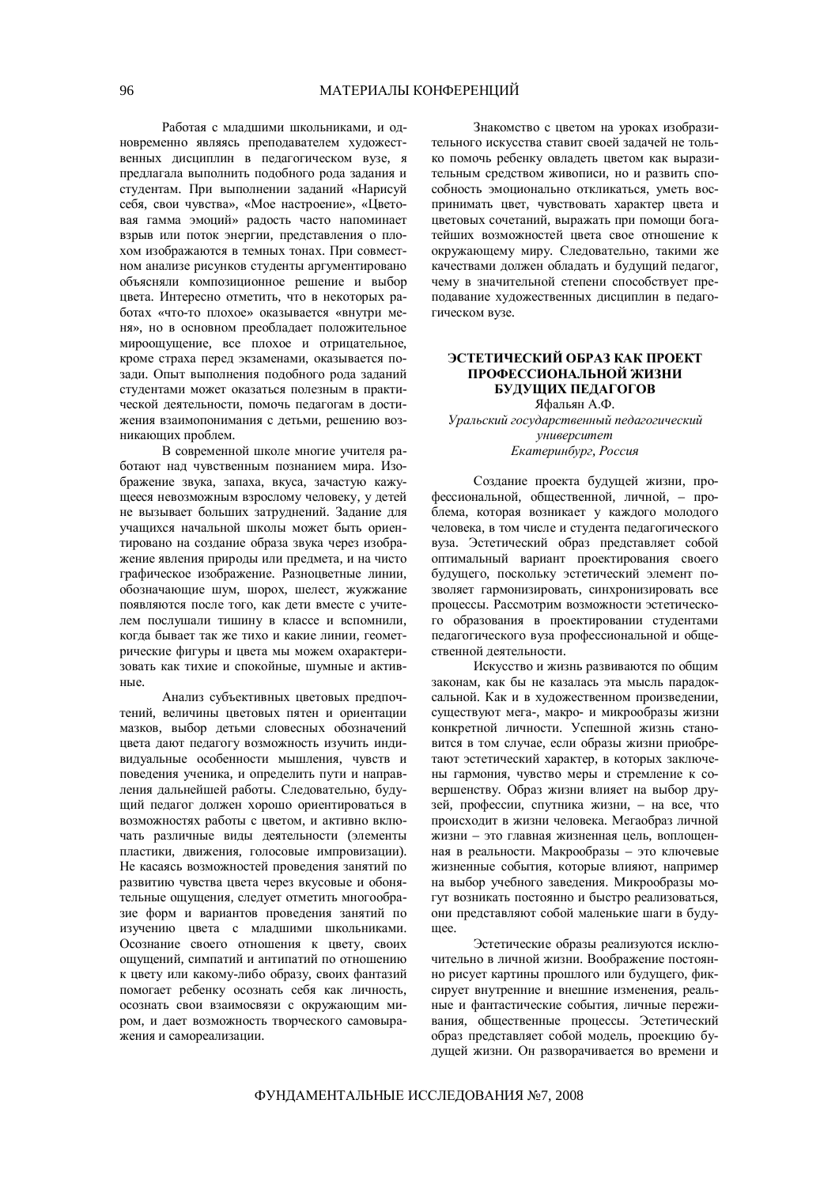Работая с младшими школьниками, и одновременно являясь преподавателем художественных дисциплин в педагогическом вузе, я предлагала выполнить подобного рода задания и студентам. При выполнении заданий «Нарисуй себя, свои чувства», «Мое настроение», «Цветовая гамма эмоций» радость часто напоминает взрыв или поток энергии, представления о плохом изображаются в темных тонах. При совместном анализе рисунков студенты аргументировано объясняли композиционное решение и выбор цвета. Интересно отметить, что в некоторых работах «что-то плохое» оказывается «внутри меня», но в основном преобладает положительное мироощущение, все плохое и отрицательное, кроме страха перед экзаменами, оказывается позади. Опыт выполнения подобного рода заданий студентами может оказаться полезным в практической деятельности, помочь педагогам в достижения взаимопонимания с летьми, решению возникающих проблем.

В современной школе многие учителя работают над чувственным познанием мира. Изображение звука, запаха, вкуса, зачастую кажущееся невозможным взрослому человеку, у детей не вызывает больших затруднений. Задание для учащихся начальной школы может быть ориентировано на создание образа звука через изображение явления природы или предмета, и на чисто графическое изображение. Разноцветные линии, обозначающие шум, шорох, шелест, жужжание появляются после того, как дети вместе с учителем послушали тишину в классе и вспомнили, когда бывает так же тихо и какие линии, геометрические фигуры и цвета мы можем охарактеризовать как тихие и спокойные, шумные и активные

Анализ субъективных цветовых предпочтений, величины шветовых пятен и ориентации мазков, выбор детьми словесных обозначений цвета дают педагогу возможность изучить индивидуальные особенности мышления, чувств и поведения ученика, и определить пути и направления дальнейшей работы. Следовательно, будущий педагог должен хорошо ориентироваться в возможностях работы с цветом, и активно включать различные виды деятельности (элементы пластики, движения, голосовые импровизации). Не касаясь возможностей проведения занятий по развитию чувства цвета через вкусовые и обонятельные ощущения, следует отметить многообразие форм и вариантов проведения занятий по изучению цвета с младшими школьниками. Осознание своего отношения к цвету, своих ошушений, симпатий и антипатий по отношению к цвету или какому-либо образу, своих фантазий помогает ребенку осознать себя как личность, осознать свои взаимосвязи с окружающим миром, и дает возможность творческого самовыражения и самореализации.

Знакомство с цветом на уроках изобразительного искусства ставит своей задачей не только помочь ребенку овладеть цветом как выразительным средством живописи, но и развить способность эмоционально откликаться, уметь воспринимать цвет, чувствовать характер цвета и цветовых сочетаний, выражать при помощи богатейших возможностей цвета свое отношение к окружающему миру. Следовательно, такими же качествами должен обладать и будущий педагог, чему в значительной степени способствует преподавание художественных дисциплин в педагогическом вузе.

## ЭСТЕТИЧЕСКИЙ ОБРАЗ КАК ПРОЕКТ ПРОФЕССИОНАЛЬНОЙ ЖИЗНИ БУДУЩИХ ПЕДАГОГОВ

Яфальян А.Ф. **Уральский государственный педагогический университет**  $E$ катеринбург, Россия

Создание проекта будущей жизни, профессиональной, общественной, личной, – проблема, которая возникает у каждого молодого человека, в том числе и студента педагогического вуза. Эстетический образ представляет собой оптимальный вариант проектирования своего будущего, поскольку эстетический элемент позволяет гармонизировать, синхронизировать все процессы. Рассмотрим возможности эстетического образования в проектировании студентами педагогического вуза профессиональной и общественной деятельности.

Искусство и жизнь развиваются по общим законам, как бы не казалась эта мысль парадоксальной. Как и в художественном произведении, существуют мега-, макро- и микрообразы жизни конкретной личности. Успешной жизнь становится в том случае, если образы жизни приобретают эстетический характер, в которых заключены гармония, чувство меры и стремление к совершенству. Образ жизни влияет на выбор друзей, профессии, спутника жизни, - на все, что происходит в жизни человека. Мегаобраз личной жизни – это главная жизненная цель, воплощенная в реальности. Макрообразы – это ключевые жизненные события, которые влияют, например на выбор учебного заведения. Микрообразы могут возникать постоянно и быстро реализоваться, они представляют собой маленькие шаги в будуmee.

Эстетические образы реализуются исключительно в личной жизни. Воображение постоянно рисует картины прошлого или будущего, фиксирует внутренние и внешние изменения, реальные и фантастические события, личные переживания, общественные процессы. Эстетический образ представляет собой модель, проекцию будущей жизни. Он разворачивается во времени и